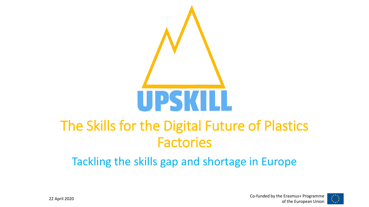

### The Skills for the Digital Future of Plastics Factories

Tackling the skills gap and shortage in Europe

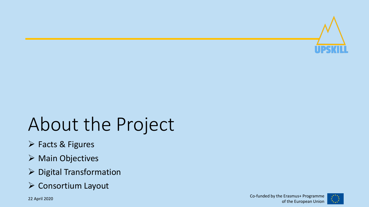

# About the Project

- ➢ Facts & Figures
- ➢ Main Objectives
- ➢ Digital Transformation
- ➢ Consortium Layout

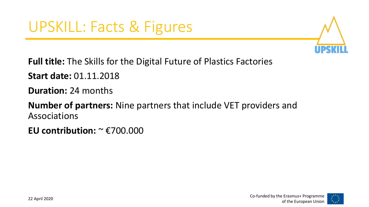

**Full title:** The Skills for the Digital Future of Plastics Factories

**Start date:** 01.11.2018

**Duration:** 24 months

**Number of partners:** Nine partners that include VET providers and Associations

**EU contribution:** ~ €700.000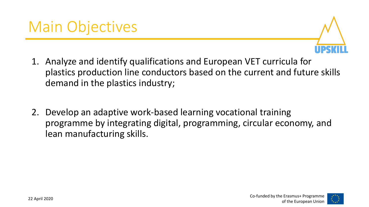

- 1. Analyze and identify qualifications and European VET curricula for plastics production line conductors based on the current and future skills demand in the plastics industry;
- 2. Develop an adaptive work-based learning vocational training programme by integrating digital, programming, circular economy, and lean manufacturing skills.

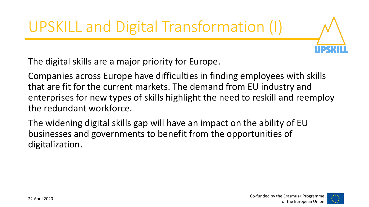UPSKILL and Digital Transformation (I)

The digital skills are a major priority for Europe.

Companies across Europe have difficulties in finding employees with skills that are fit for the current markets. The demand from EU industry and enterprises for new types of skills highlight the need to reskill and reemploy the redundant workforce.

The widening digital skills gap will have an impact on the ability of EU businesses and governments to benefit from the opportunities of digitalization.

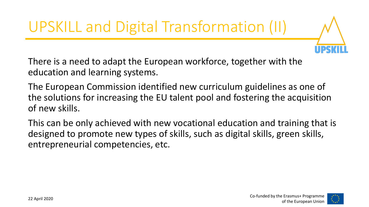UPSKILL and Digital Transformation (II)



The European Commission identified new curriculum guidelines as one of the solutions for increasing the EU talent pool and fostering the acquisition of new skills.

This can be only achieved with new vocational education and training that is designed to promote new types of skills, such as digital skills, green skills, entrepreneurial competencies, etc.

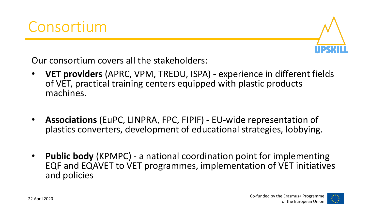

Our consortium covers all the stakeholders:

- **VET providers** (APRC, VPM, TREDU, ISPA) experience in different fields of VET, practical training centers equipped with plastic products machines.
- **Associations** (EuPC, LINPRA, FPC, FIPIF) EU-wide representation of plastics converters, development of educational strategies, lobbying.
- **Public body** (KPMPC) a national coordination point for implementing EQF and EQAVET to VET programmes, implementation of VET initiatives and policies

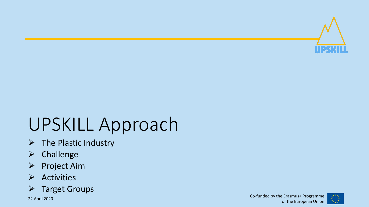

## UPSKILL Approach

- $\triangleright$  The Plastic Industry
- ➢ Challenge
- ➢ Project Aim
- ➢ Activities
- ➢ Target Groups

22 April 2020 Co

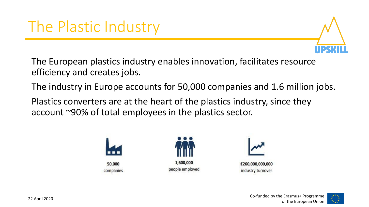

The European plastics industry enables innovation, facilitates resource efficiency and creates jobs.

The industry in Europe accounts for 50,000 companies and 1.6 million jobs.

Plastics converters are at the heart of the plastics industry, since they account ~90% of total employees in the plastics sector.







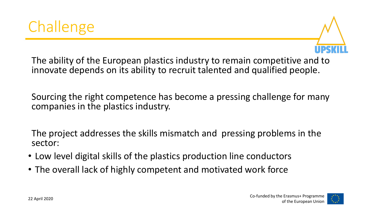



The ability of the European plastics industry to remain competitive and to innovate depends on its ability to recruit talented and qualified people.

Sourcing the right competence has become a pressing challenge for many companies in the plastics industry.

The project addresses the skills mismatch and pressing problems in the sector:

- Low level digital skills of the plastics production line conductors
- The overall lack of highly competent and motivated work force

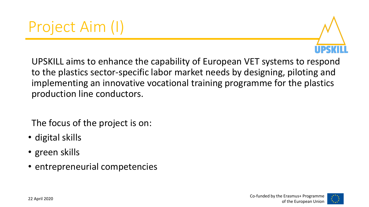

UPSKILL aims to enhance the capability of European VET systems to respond to the plastics sector-specific labor market needs by designing, piloting and implementing an innovative vocational training programme for the plastics production line conductors.

The focus of the project is on:

- digital skills
- green skills
- entrepreneurial competencies

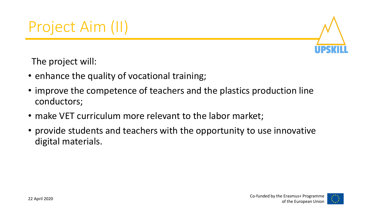

The project will:

- enhance the quality of vocational training;
- improve the competence of teachers and the plastics production line conductors;
- make VET curriculum more relevant to the labor market;
- provide students and teachers with the opportunity to use innovative digital materials.

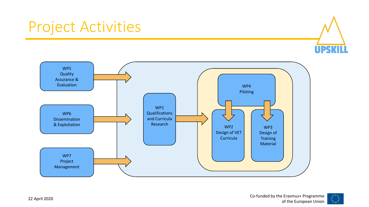### Project Activities





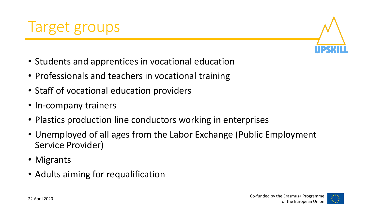

- Students and apprentices in vocational education
- Professionals and teachers in vocational training
- Staff of vocational education providers
- In-company trainers
- Plastics production line conductors working in enterprises
- Unemployed of all ages from the Labor Exchange (Public Employment Service Provider)
- Migrants
- Adults aiming for requalification

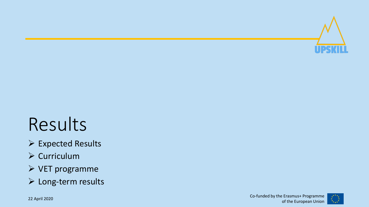

## Results

- ➢ Expected Results
- ➢ Curriculum
- ➢ VET programme
- ➢ Long-term results

22 April 2020 Co

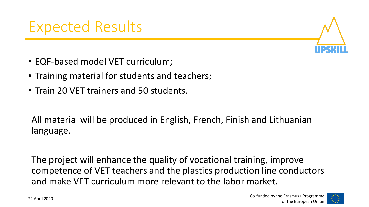

- EQF-based model VET curriculum;
- Training material for students and teachers;
- Train 20 VET trainers and 50 students.

All material will be produced in English, French, Finish and Lithuanian language.

The project will enhance the quality of vocational training, improve competence of VET teachers and the plastics production line conductors and make VET curriculum more relevant to the labor market.

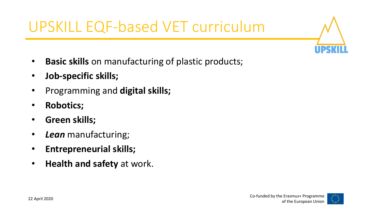UPSKILL EQF-based VET curriculum

- **Basic skills** on manufacturing of plastic products;
- **Job-specific skills;**
- Programming and **digital skills;**
- **Robotics;**
- **Green skills;**
- *Lean* manufacturing;
- **Entrepreneurial skills;**
- **Health and safety** at work.

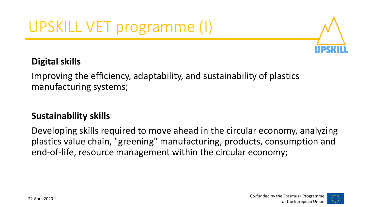

### **Digital skills**

Improving the efficiency, adaptability, and sustainability of plastics manufacturing systems;

### **Sustainability skills**

Developing skills required to move ahead in the circular economy, analyzing plastics value chain, "greening" manufacturing, products, consumption and end-of-life, resource management within the circular economy;

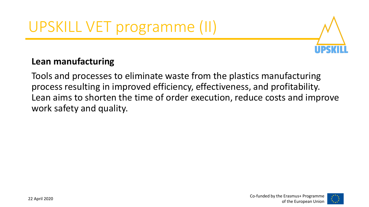## UPSKILL VET programme (II)



#### **Lean manufacturing**

Tools and processes to eliminate waste from the plastics manufacturing process resulting in improved efficiency, effectiveness, and profitability. Lean aims to shorten the time of order execution, reduce costs and improve work safety and quality.

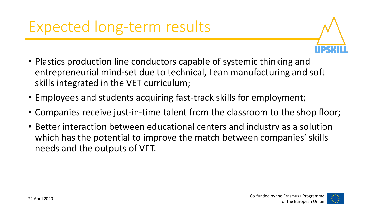

- Plastics production line conductors capable of systemic thinking and entrepreneurial mind-set due to technical, Lean manufacturing and soft skills integrated in the VET curriculum;
- Employees and students acquiring fast-track skills for employment;
- Companies receive just-in-time talent from the classroom to the shop floor;
- Better interaction between educational centers and industry as a solution which has the potential to improve the match between companies' skills needs and the outputs of VET.

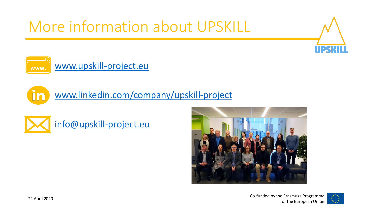More information about UPSKILL





[www.linkedin.com/company/upskill-project](http://www.linkedin.com/company/upskill-project)